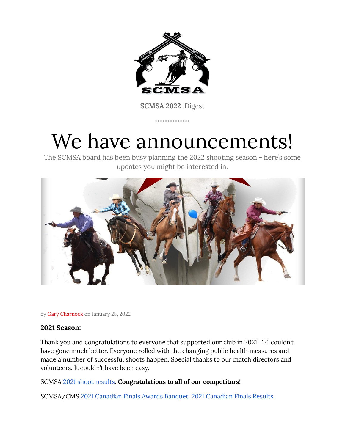

**SCMSA 2022** Digest

. . . . . . . . . . . . . .

# We have announcements!

The SCMSA board has been busy planning the 2022 shooting season - here's some updates you might be interested in.



by Gary Charnock on January 28, 2022

# **2021 Season:**

Thank you and congratulations to everyone that supported our club in 2021! '21 couldn't have gone much better. Everyone rolled with the changing public health measures and made a number of successful shoots happen. Special thanks to our match directors and volunteers. It couldn't have been easy.

# SCMSA 2021 shoot [results.](https://drive.google.com/drive/folders/1p9MjTGn8GKgNk7EZzxWVlpskYF2m0-vD?usp=sharing) **Congratulations to all of our competitors!**

SCMSA/CMS 2021 [Canadian](https://www.mountedshooterscanada.com/copy-of-2019-awards-banquet) Finals Awards Banquet 2021 [Canadian](https://www.cmsaevents.com/events/event.php?id=11527&show=points) Finals Results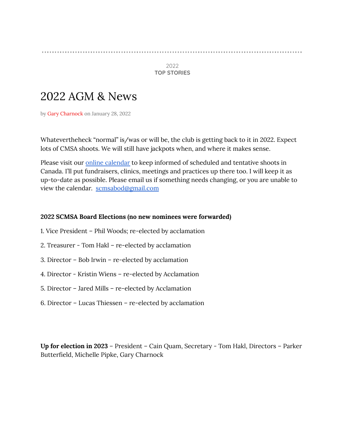#### 

2022 **TOP STORIES**

# 2022 AGM & News

by Gary Charnock on January 28, 2022

Whatevertheheck "normal" is/was or will be, the club is getting back to it in 2022. Expect lots of CMSA shoots. We will still have jackpots when, and where it makes sense.

Please visit our online [calendar](https://calendar.google.com/calendar/u/0?cid=c2Ntc2Fib2RAZ21haWwuY29t) to keep informed of scheduled and tentative shoots in Canada. I'll put fundraisers, clinics, meetings and practices up there too. I will keep it as up-to-date as possible. Please email us if something needs changing, or you are unable to view the calendar. [scmsabod@gmail.com](mailto:scmsabod@gmail.com)

## **2022 SCMSA Board Elections (no new nominees were forwarded)**

- 1. Vice President Phil Woods; re-elected by acclamation
- 2. Treasurer Tom Hakl re-elected by acclamation
- 3. Director Bob Irwin re-elected by acclamation
- 4. Director Kristin Wiens re-elected by Acclamation
- 5. Director Jared Mills re-elected by Acclamation
- 6. Director Lucas Thiessen re-elected by acclamation

**Up for election in 2023** – President – Cain Quam, Secretary - Tom Hakl, Directors – Parker Butterfield, Michelle Pipke, Gary Charnock